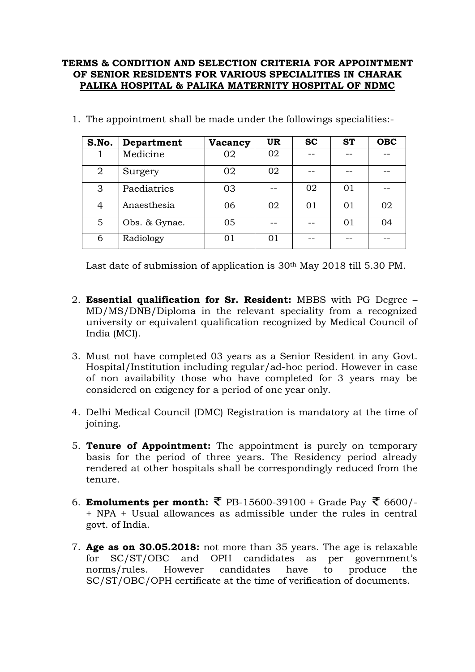## **TERMS & CONDITION AND SELECTION CRITERIA FOR APPOINTMENT OF SENIOR RESIDENTS FOR VARIOUS SPECIALITIES IN CHARAK PALIKA HOSPITAL & PALIKA MATERNITY HOSPITAL OF NDMC**

| S.No.          | Department    | Vacancy | <b>UR</b> | <b>SC</b> | <b>ST</b> | <b>OBC</b> |
|----------------|---------------|---------|-----------|-----------|-----------|------------|
|                | Medicine      | 02      | 02        |           |           |            |
| $\overline{2}$ | Surgery       | 02      | 02        |           |           |            |
| 3              | Paediatrics   | 03      |           | 02        | 01        |            |
| 4              | Anaesthesia   | 06      | 02        | 01        | 01        | 02         |
| 5              | Obs. & Gynae. | 05      |           |           | 01        | 04         |
| 6              | Radiology     | 01      | 01        |           |           |            |

1. The appointment shall be made under the followings specialities:-

Last date of submission of application is 30th May 2018 till 5.30 PM.

- 2. **Essential qualification for Sr. Resident:** MBBS with PG Degree MD/MS/DNB/Diploma in the relevant speciality from a recognized university or equivalent qualification recognized by Medical Council of India (MCI).
- 3. Must not have completed 03 years as a Senior Resident in any Govt. Hospital/Institution including regular/ad-hoc period. However in case of non availability those who have completed for 3 years may be considered on exigency for a period of one year only.
- 4. Delhi Medical Council (DMC) Registration is mandatory at the time of joining.
- 5. **Tenure of Appointment:** The appointment is purely on temporary basis for the period of three years. The Residency period already rendered at other hospitals shall be correspondingly reduced from the tenure.
- 6. **Emoluments per month:**  $\bar{\mathbf{\xi}}$  PB-15600-39100 + Grade Pay  $\bar{\mathbf{\xi}}$  6600/-+ NPA + Usual allowances as admissible under the rules in central govt. of India.
- 7. **Age as on 30.05.2018:** not more than 35 years. The age is relaxable for SC/ST/OBC and OPH candidates as per government's norms/rules. However candidates have to produce the SC/ST/OBC/OPH certificate at the time of verification of documents.